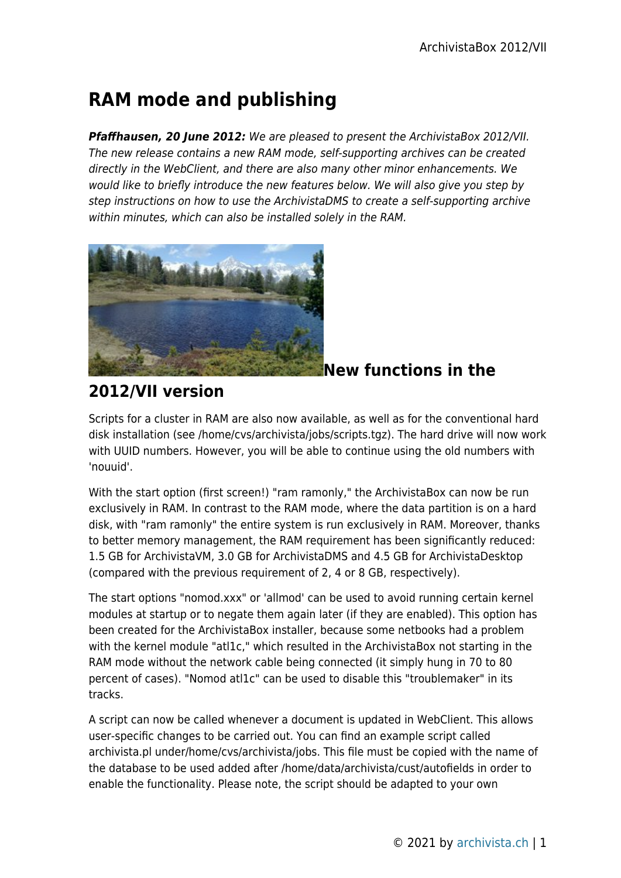# **RAM mode and publishing**

*Pfaffhausen, 20 June 2012:* We are pleased to present the ArchivistaBox 2012/VII. The new release contains a new RAM mode, self-supporting archives can be created directly in the WebClient, and there are also many other minor enhancements. We would like to briefly introduce the new features below. We will also give you step by step instructions on how to use the ArchivistaDMS to create a self-supporting archive within minutes, which can also be installed solely in the RAM.



### **New functions in the**

# **2012/VII version**

Scripts for a cluster in RAM are also now available, as well as for the conventional hard disk installation (see /home/cvs/archivista/jobs/scripts.tgz). The hard drive will now work with UUID numbers. However, you will be able to continue using the old numbers with 'nouuid'.

With the start option (first screen!) "ram ramonly," the ArchivistaBox can now be run exclusively in RAM. In contrast to the RAM mode, where the data partition is on a hard disk, with "ram ramonly" the entire system is run exclusively in RAM. Moreover, thanks to better memory management, the RAM requirement has been significantly reduced: 1.5 GB for ArchivistaVM, 3.0 GB for ArchivistaDMS and 4.5 GB for ArchivistaDesktop (compared with the previous requirement of 2, 4 or 8 GB, respectively).

The start options "nomod.xxx" or 'allmod' can be used to avoid running certain kernel modules at startup or to negate them again later (if they are enabled). This option has been created for the ArchivistaBox installer, because some netbooks had a problem with the kernel module "atl1c," which resulted in the ArchivistaBox not starting in the RAM mode without the network cable being connected (it simply hung in 70 to 80 percent of cases). "Nomod atl1c" can be used to disable this "troublemaker" in its tracks.

A script can now be called whenever a document is updated in WebClient. This allows user-specific changes to be carried out. You can find an example script called archivista.pl under/home/cvs/archivista/jobs. This file must be copied with the name of the database to be used added after /home/data/archivista/cust/autofields in order to enable the functionality. Please note, the script should be adapted to your own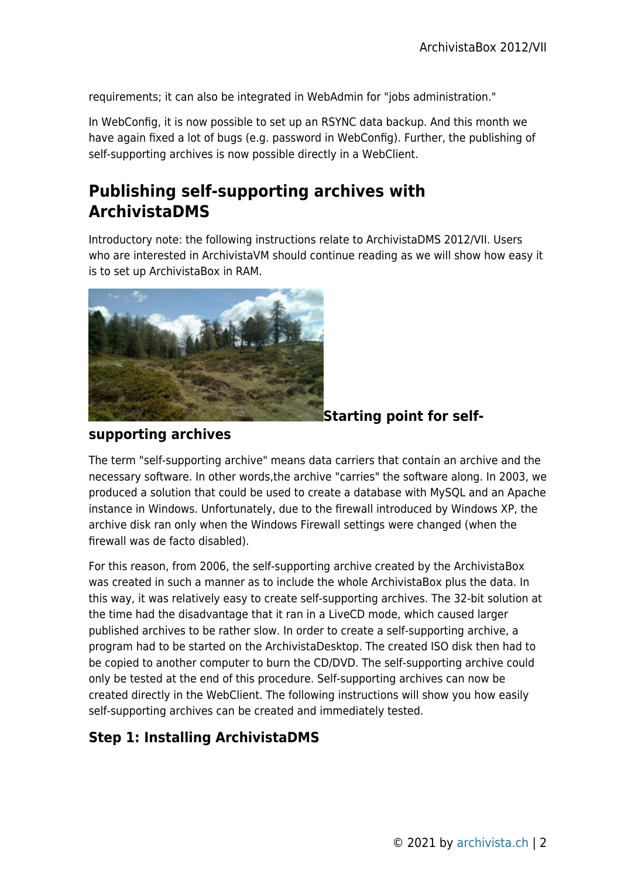requirements; it can also be integrated in WebAdmin for "jobs administration."

In WebConfig, it is now possible to set up an RSYNC data backup. And this month we have again fixed a lot of bugs (e.g. password in WebConfig). Further, the publishing of self-supporting archives is now possible directly in a WebClient.

# **Publishing self-supporting archives with ArchivistaDMS**

Introductory note: the following instructions relate to ArchivistaDMS 2012/VII. Users who are interested in ArchivistaVM should continue reading as we will show how easy it is to set up ArchivistaBox in RAM.



#### **Starting point for self-**

#### **supporting archives**

The term "self-supporting archive" means data carriers that contain an archive and the necessary software. In other words,the archive "carries" the software along. In 2003, we produced a solution that could be used to create a database with MySQL and an Apache instance in Windows. Unfortunately, due to the firewall introduced by Windows XP, the archive disk ran only when the Windows Firewall settings were changed (when the firewall was de facto disabled).

For this reason, from 2006, the self-supporting archive created by the ArchivistaBox was created in such a manner as to include the whole ArchivistaBox plus the data. In this way, it was relatively easy to create self-supporting archives. The 32-bit solution at the time had the disadvantage that it ran in a LiveCD mode, which caused larger published archives to be rather slow. In order to create a self-supporting archive, a program had to be started on the ArchivistaDesktop. The created ISO disk then had to be copied to another computer to burn the CD/DVD. The self-supporting archive could only be tested at the end of this procedure. Self-supporting archives can now be created directly in the WebClient. The following instructions will show you how easily self-supporting archives can be created and immediately tested.

#### **Step 1: Installing ArchivistaDMS**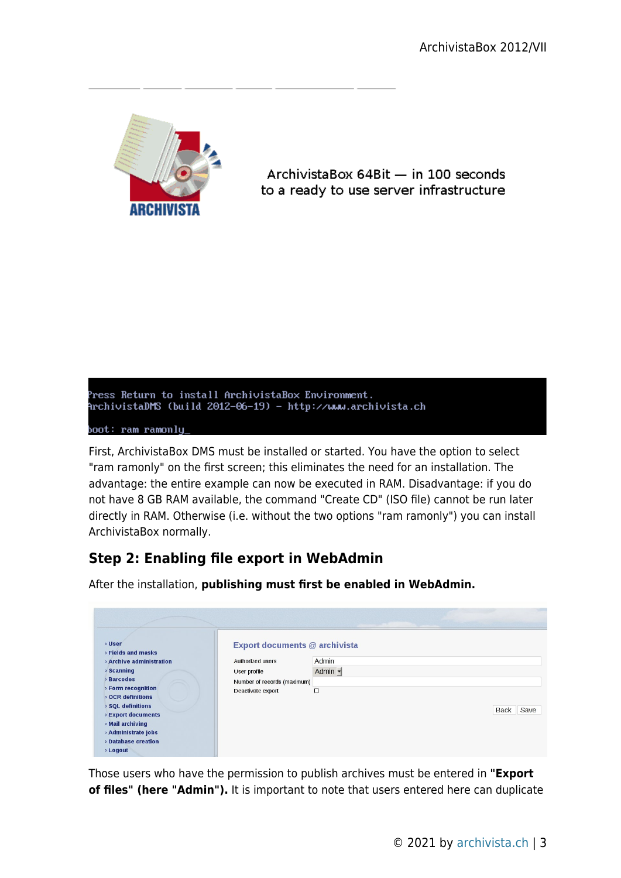

ArchivistaBox 64Bit - in 100 seconds to a ready to use server infrastructure



First, ArchivistaBox DMS must be installed or started. You have the option to select "ram ramonly" on the first screen; this eliminates the need for an installation. The advantage: the entire example can now be executed in RAM. Disadvantage: if you do not have 8 GB RAM available, the command "Create CD" (ISO file) cannot be run later directly in RAM. Otherwise (i.e. without the two options "ram ramonly") you can install ArchivistaBox normally.

# **Step 2: Enabling file export in WebAdmin**

After the installation, **publishing must first be enabled in WebAdmin.**

| <b>D</b> User<br>> Fields and masks<br>> Archive administration<br>$\rightarrow$ Scanning<br><b>Barcodes</b><br>> Form recognition<br><b>OCR definitions</b><br><b>&gt; SQL definitions</b><br><b>&gt; Export documents</b><br>» Mail archiving<br>> Administrate jobs<br><b>Database creation</b><br>> Logout | Authorized users<br>User profile<br>Number of records (maximum)<br>Deactivate export | Export documents @ archivista<br>Admin<br>Admin $\blacktriangleright$<br>$\Box$ | Save<br>Back |
|----------------------------------------------------------------------------------------------------------------------------------------------------------------------------------------------------------------------------------------------------------------------------------------------------------------|--------------------------------------------------------------------------------------|---------------------------------------------------------------------------------|--------------|

Those users who have the permission to publish archives must be entered in **"Export of files" (here "Admin").** It is important to note that users entered here can duplicate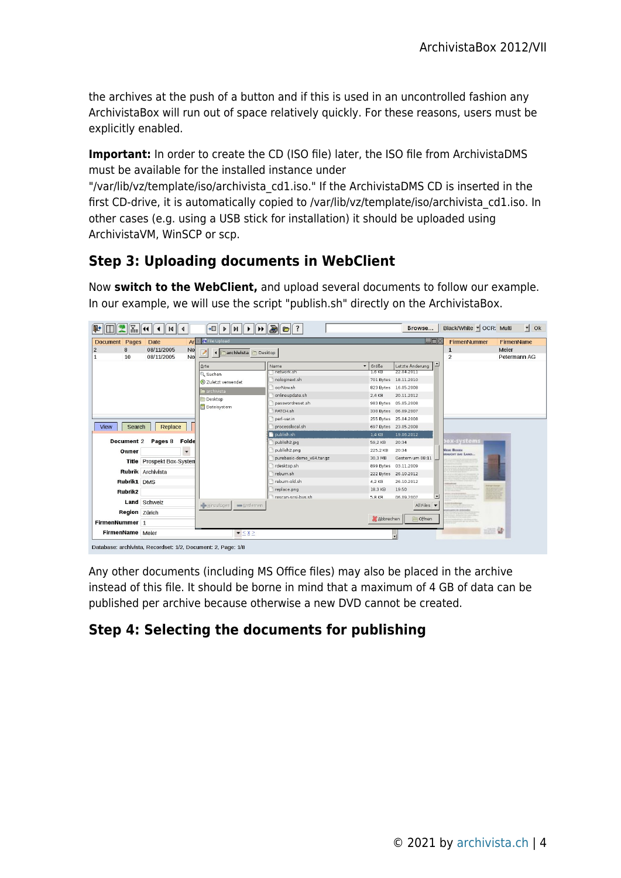the archives at the push of a button and if this is used in an uncontrolled fashion any ArchivistaBox will run out of space relatively quickly. For these reasons, users must be explicitly enabled.

**Important:** In order to create the CD (ISO file) later, the ISO file from ArchivistaDMS must be available for the installed instance under

"/var/lib/vz/template/iso/archivista\_cd1.iso." If the ArchivistaDMS CD is inserted in the first CD-drive, it is automatically copied to /var/lib/vz/template/iso/archivista\_cd1.iso. In other cases (e.g. using a USB stick for installation) it should be uploaded using ArchivistaVM, WinSCP or scp.

# **Step 3: Uploading documents in WebClient**

Now **switch to the WebClient,** and upload several documents to follow our example. In our example, we will use the script "publish.sh" directly on the ArchivistaBox.



Any other documents (including MS Office files) may also be placed in the archive instead of this file. It should be borne in mind that a maximum of 4 GB of data can be published per archive because otherwise a new DVD cannot be created.

### **Step 4: Selecting the documents for publishing**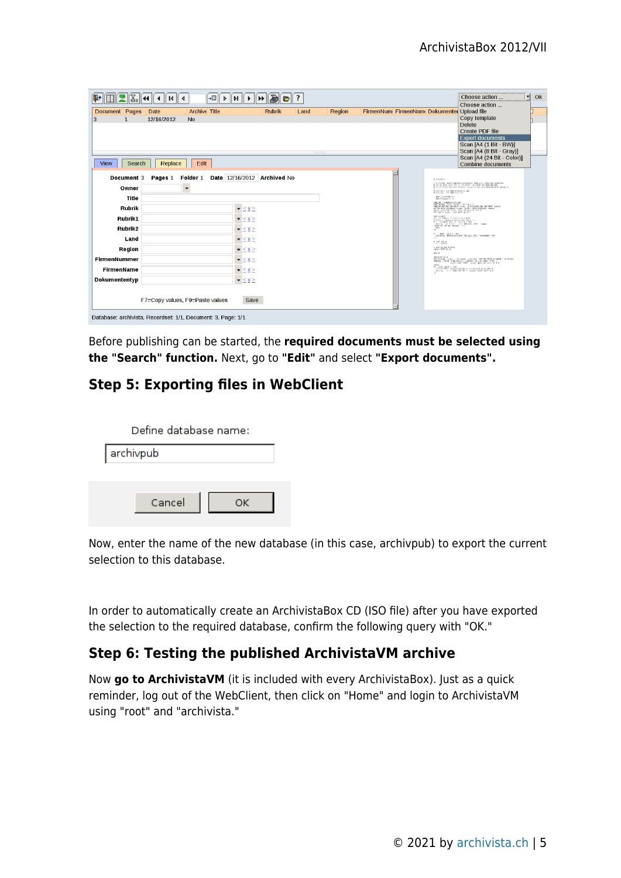| <b>Archive Title</b><br><b>Rubrik</b><br>Document Pages<br>Region<br>Date<br>Land<br>12/16/2012<br>3<br>N <sub>0</sub><br><br>Edit<br><b>View</b><br>Replace<br>Search<br>Folder 1<br>Date 12/16/2012 Archived No<br>Pages 1<br>Document 3<br>Owner<br>$\overline{\phantom{a}}$<br>Title<br><b>Rubrik</b><br>$\bullet \leq \times \geq$<br>Rubrik1<br>$\blacktriangledown \leq x \geq$<br>Rubrik <sub>2</sub><br>$\bullet \leq \times \geq$ | FirmenNum FirmenNam Dokumenter Upload file<br>Copy template<br><b>Delete</b><br>Create PDF file<br><b>Export documents</b><br>Scan [A4 (1 Bit - BW)]<br>Scan [A4 (8 Bit - Gray)]<br>Scan [A4 (24 Bit - Color)]<br><b>Combine documents</b><br># Ainder<br>r 11-feridas "Beaux regenerum presidente tient until come una population<br>it is a climate and sense display to property late. Now believe while and my se-<br>FORDING 24 8th POSAGE OR-                                                                                                                                                                                                                                                                                                                                                                                                                                                                                                                                 |
|---------------------------------------------------------------------------------------------------------------------------------------------------------------------------------------------------------------------------------------------------------------------------------------------------------------------------------------------------------------------------------------------------------------------------------------------|-------------------------------------------------------------------------------------------------------------------------------------------------------------------------------------------------------------------------------------------------------------------------------------------------------------------------------------------------------------------------------------------------------------------------------------------------------------------------------------------------------------------------------------------------------------------------------------------------------------------------------------------------------------------------------------------------------------------------------------------------------------------------------------------------------------------------------------------------------------------------------------------------------------------------------------------------------------------------------------|
|                                                                                                                                                                                                                                                                                                                                                                                                                                             |                                                                                                                                                                                                                                                                                                                                                                                                                                                                                                                                                                                                                                                                                                                                                                                                                                                                                                                                                                                     |
|                                                                                                                                                                                                                                                                                                                                                                                                                                             |                                                                                                                                                                                                                                                                                                                                                                                                                                                                                                                                                                                                                                                                                                                                                                                                                                                                                                                                                                                     |
|                                                                                                                                                                                                                                                                                                                                                                                                                                             |                                                                                                                                                                                                                                                                                                                                                                                                                                                                                                                                                                                                                                                                                                                                                                                                                                                                                                                                                                                     |
|                                                                                                                                                                                                                                                                                                                                                                                                                                             |                                                                                                                                                                                                                                                                                                                                                                                                                                                                                                                                                                                                                                                                                                                                                                                                                                                                                                                                                                                     |
|                                                                                                                                                                                                                                                                                                                                                                                                                                             |                                                                                                                                                                                                                                                                                                                                                                                                                                                                                                                                                                                                                                                                                                                                                                                                                                                                                                                                                                                     |
|                                                                                                                                                                                                                                                                                                                                                                                                                                             |                                                                                                                                                                                                                                                                                                                                                                                                                                                                                                                                                                                                                                                                                                                                                                                                                                                                                                                                                                                     |
|                                                                                                                                                                                                                                                                                                                                                                                                                                             |                                                                                                                                                                                                                                                                                                                                                                                                                                                                                                                                                                                                                                                                                                                                                                                                                                                                                                                                                                                     |
|                                                                                                                                                                                                                                                                                                                                                                                                                                             |                                                                                                                                                                                                                                                                                                                                                                                                                                                                                                                                                                                                                                                                                                                                                                                                                                                                                                                                                                                     |
| Land<br>$\bullet \leq X \geq$<br>Region<br>$\blacktriangledown \leq \underline{X} \geq$<br><b>FirmenNummer</b><br>$ \leq$ $\times$ $\geq$<br><b>FirmenName</b><br>$ \leq$ $\times$ $\geq$<br>Dokumententyp<br>$ \leq$ $\times$ $\geq$<br>F7=Copy values, F9=Paste values<br>Save                                                                                                                                                            | EMAL (Therefore ) =<br>EMAL FELOMENA - In<br>$\mathcal{D}^{\mathcal{M}}$ and $\mathcal{D}^{\mathcal{M}}$ and the subsequent form $\mathcal{D}^{\mathcal{M}}$ and $\mathcal{D}^{\mathcal{M}}$ and $\mathcal{D}^{\mathcal{M}}$ are the subsequent form $\mathcal{D}^{\mathcal{M}}$ , and $\mathcal{D}^{\mathcal{M}}$ are the subsequent of $\mathcal{D}^{\mathcal{M}}$ . The<br>49.91<br>$-4$<br>$\frac{F}{\sqrt{2}}$ with $\frac{1}{2}$ and $\frac{1}{2}$ . Such that $\frac{1}{2}$ are the contract form<br>$\sigma$ -3.0 and an<br>$\sim$ -1 and Eq.<br><b>SAN BANZAW</b><br>440.4<br>$\frac{1}{2} \frac{1}{2} \frac{1}{2} \frac{1}{2} \frac{1}{2} \frac{1}{2} \frac{1}{2} \frac{1}{2} \frac{1}{2} \frac{1}{2} \frac{1}{2} \frac{1}{2} \frac{1}{2} \frac{1}{2} \frac{1}{2} \frac{1}{2} \frac{1}{2} \frac{1}{2} \frac{1}{2} \frac{1}{2} \frac{1}{2} \frac{1}{2} \frac{1}{2} \frac{1}{2} \frac{1}{2} \frac{1}{2} \frac{1}{2} \frac{1}{2} \frac{1}{2} \frac{1}{2} \frac{1}{2} \frac{$ |

Before publishing can be started, the **required documents must be selected using the "Search" function.** Next, go to **"Edit"** and select **"Export documents".**

#### **Step 5: Exporting files in WebClient**

|           | Define database name: |  |
|-----------|-----------------------|--|
| archivpub |                       |  |
|           |                       |  |
|           | Cancel                |  |
|           |                       |  |

Now, enter the name of the new database (in this case, archivpub) to export the current selection to this database.

In order to automatically create an ArchivistaBox CD (ISO file) after you have exported the selection to the required database, confirm the following query with "OK."

#### **Step 6: Testing the published ArchivistaVM archive**

Now **go to ArchivistaVM** (it is included with every ArchivistaBox). Just as a quick reminder, log out of the WebClient, then click on "Home" and login to ArchivistaVM using "root" and "archivista."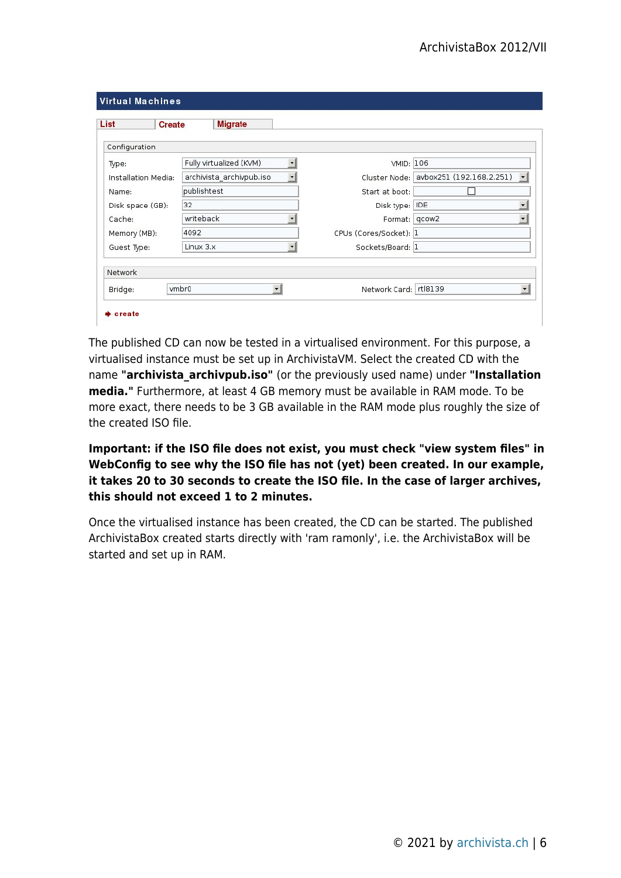| List                             | <b>Create</b> |                      | <b>Migrate</b>           |                          |                         |                                        |
|----------------------------------|---------------|----------------------|--------------------------|--------------------------|-------------------------|----------------------------------------|
| Configuration                    |               |                      |                          |                          |                         |                                        |
| Fully virtualized (KVM)<br>Type: |               | $\blacktriangledown$ | VMID: 106                |                          |                         |                                        |
| Installation Media:              |               |                      | archivista archivpub.iso | $\overline{\phantom{a}}$ |                         | Cluster Node: avbox251 (192.168.2.251) |
| Name:                            |               | publishtest          |                          | Start at boot:           |                         |                                        |
| 32<br>Disk space (GB):           |               |                      |                          |                          | Disk type: IDE          |                                        |
| Cache:                           |               | writeback            |                          |                          | Format: qcow2           |                                        |
| Memory (MB):                     |               | 4092                 |                          |                          | CPUs (Cores/Socket): 1  |                                        |
| Guest Type:                      |               | Linux 3.x            |                          | Sockets/Board: 1         |                         |                                        |
| Network                          |               |                      |                          |                          |                         |                                        |
| Bridge:                          |               | vmbr0                |                          | ▼                        | Network Card:   rtl8139 |                                        |

The published CD can now be tested in a virtualised environment. For this purpose, a virtualised instance must be set up in ArchivistaVM. Select the created CD with the name **"archivista\_archivpub.iso"** (or the previously used name) under **"Installation media."** Furthermore, at least 4 GB memory must be available in RAM mode. To be more exact, there needs to be 3 GB available in the RAM mode plus roughly the size of the created ISO file.

**Important: if the ISO file does not exist, you must check "view system files" in WebConfig to see why the ISO file has not (yet) been created. In our example, it takes 20 to 30 seconds to create the ISO file. In the case of larger archives, this should not exceed 1 to 2 minutes.**

Once the virtualised instance has been created, the CD can be started. The published ArchivistaBox created starts directly with 'ram ramonly', i.e. the ArchivistaBox will be started and set up in RAM.